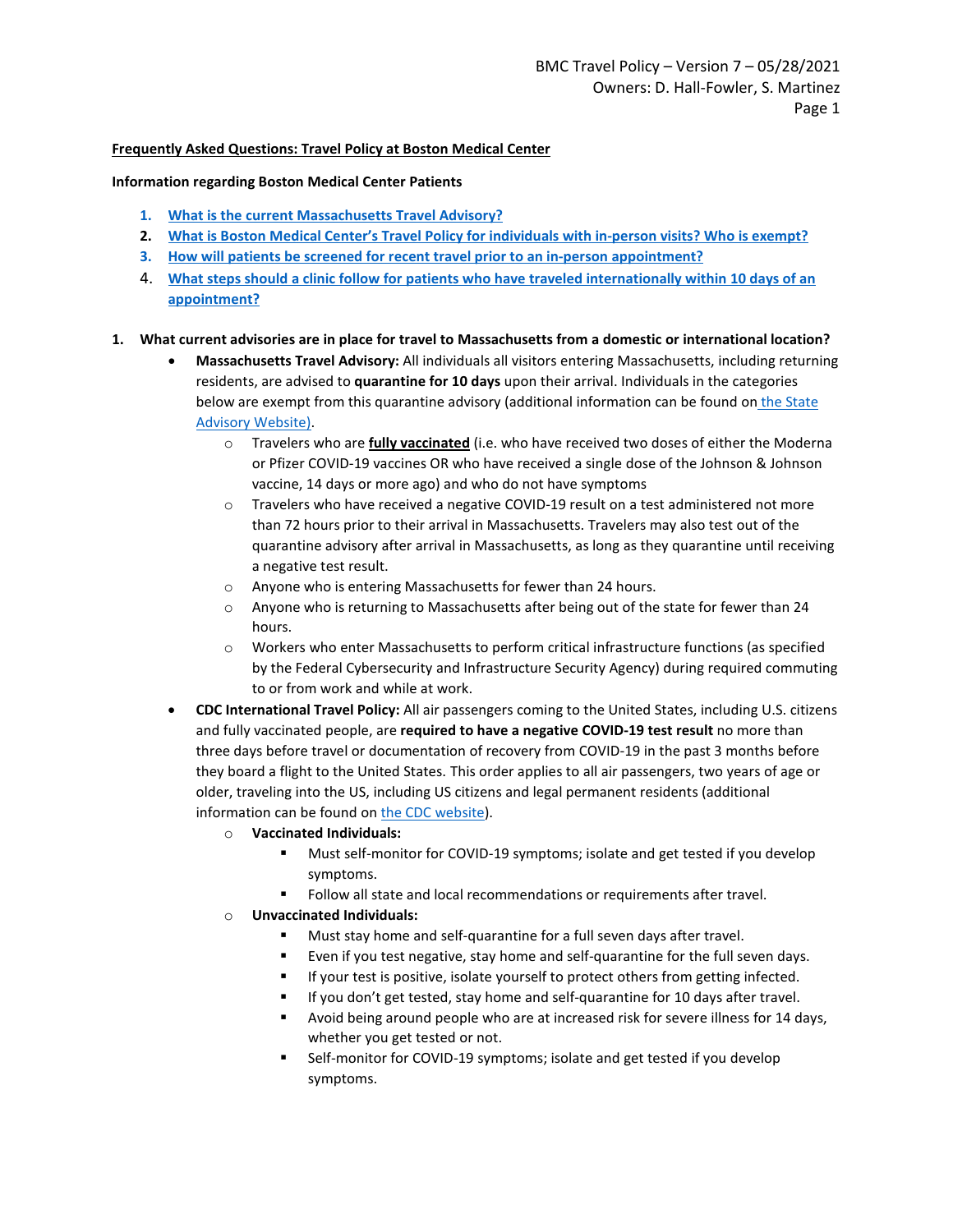### **Frequently Asked Questions: Travel Policy at Boston Medical Center**

#### **Information regarding Boston Medical Center Patients**

- **1. What is the current Massachusetts Travel Advisory?**
- **2. What is Boston Medical Center's Travel Policy for individuals with in-person visits? Who is exempt?**
- **3. [How will patients be screened for recent travel prior to an in-person appointment?](#page-1-0)**
- 4. **What steps should a clinic follow for patients who have traveled internationally within 10 days of an appointment?**

#### **1. What current advisories are in place for travel to Massachusetts from a domestic or international location?**

- **Massachusetts Travel Advisory:** All individuals all visitors entering Massachusetts, including returning residents, are advised to **quarantine for 10 days** upon their arrival. Individuals in the categories below are exempt from this quarantine advisory (additional information can be found on the State [Advisory Website\)](https://www.mass.gov/info-details/covid-19-travel-advisory).
	- o Travelers who are **fully vaccinated** (i.e. who have received two doses of either the Moderna or Pfizer COVID-19 vaccines OR who have received a single dose of the Johnson & Johnson vaccine, 14 days or more ago) and who do not have symptoms
	- $\circ$  Travelers who have received a negative COVID-19 result on a test administered not more than 72 hours prior to their arrival in Massachusetts. Travelers may also test out of the quarantine advisory after arrival in Massachusetts, as long as they quarantine until receiving a negative test result.
	- o Anyone who is entering Massachusetts for fewer than 24 hours.
	- $\circ$  Anyone who is returning to Massachusetts after being out of the state for fewer than 24 hours.
	- o Workers who enter Massachusetts to perform critical infrastructure functions (as specified by the Federal Cybersecurity and Infrastructure Security Agency) during required commuting to or from work and while at work.
- **CDC International Travel Policy:** All air passengers coming to the United States, including U.S. citizens and fully vaccinated people, are **required to have a negative COVID-19 test result** no more than three days before travel or documentation of recovery from COVID-19 in the past 3 months before they board a flight to the United States. This order applies to all air passengers, two years of age or older, traveling into the US, including US citizens and legal permanent residents (additional information can be found o[n the CDC website\)](https://www.cdc.gov/coronavirus/2019-ncov/travelers/after-travel-precautions.html).
	- o **Vaccinated Individuals:**
		- Must self-monitor for COVID-19 symptoms; isolate and get tested if you develop symptoms.
		- Follow all state and local recommendations or requirements after travel.
	- o **Unvaccinated Individuals:**
		- Must stay home and self-quarantine for a full seven days after travel.
		- Even if you test negative, stay home and self-quarantine for the full seven days.
		- If your test is positive, isolate yourself to protect others from getting infected.
		- If you don't get tested, stay home and self-quarantine for 10 days after travel.
		- Avoid being around people who are at increased risk for severe illness for 14 days, whether you get tested or not.
		- Self-monitor for COVID-19 symptoms; isolate and get tested if you develop symptoms.